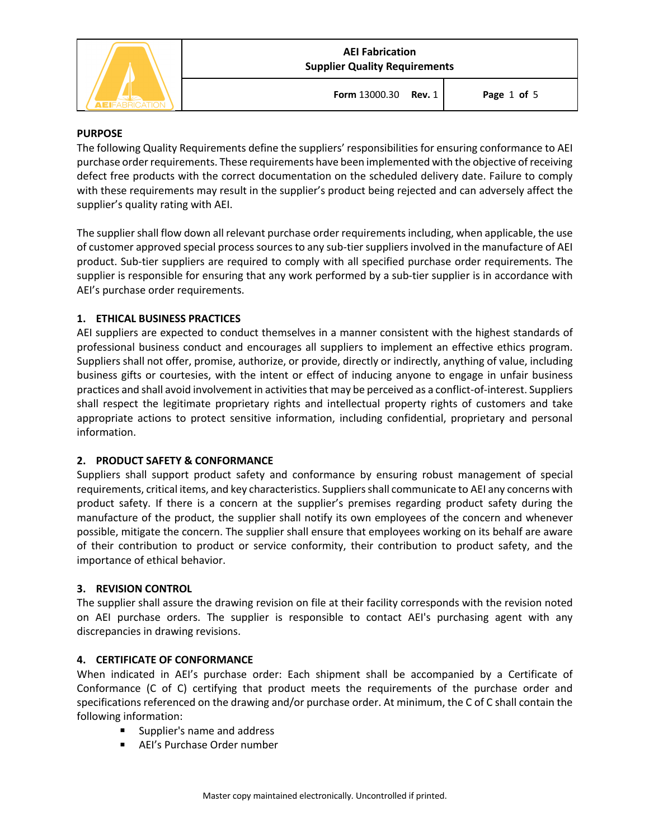

**Form** 13000.30 **Rev.** 1 **Page** 1 **of** 5

### **PURPOSE**

The following Quality Requirements define the suppliers' responsibilities for ensuring conformance to AEI purchase order requirements. These requirements have been implemented with the objective of receiving defect free products with the correct documentation on the scheduled delivery date. Failure to comply with these requirements may result in the supplier's product being rejected and can adversely affect the supplier's quality rating with AEI.

The supplier shall flow down all relevant purchase order requirements including, when applicable, the use of customer approved special process sources to any sub-tier suppliers involved in the manufacture of AEI product. Sub-tier suppliers are required to comply with all specified purchase order requirements. The supplier is responsible for ensuring that any work performed by a sub-tier supplier is in accordance with AEI's purchase order requirements.

## **1. ETHICAL BUSINESS PRACTICES**

AEI suppliers are expected to conduct themselves in a manner consistent with the highest standards of professional business conduct and encourages all suppliers to implement an effective ethics program. Suppliers shall not offer, promise, authorize, or provide, directly or indirectly, anything of value, including business gifts or courtesies, with the intent or effect of inducing anyone to engage in unfair business practices and shall avoid involvement in activities that may be perceived as a conflict-of-interest. Suppliers shall respect the legitimate proprietary rights and intellectual property rights of customers and take appropriate actions to protect sensitive information, including confidential, proprietary and personal information.

### **2. PRODUCT SAFETY & CONFORMANCE**

Suppliers shall support product safety and conformance by ensuring robust management of special requirements, critical items, and key characteristics. Suppliers shall communicate to AEI any concerns with product safety. If there is a concern at the supplier's premises regarding product safety during the manufacture of the product, the supplier shall notify its own employees of the concern and whenever possible, mitigate the concern. The supplier shall ensure that employees working on its behalf are aware of their contribution to product or service conformity, their contribution to product safety, and the importance of ethical behavior.

### **3. REVISION CONTROL**

The supplier shall assure the drawing revision on file at their facility corresponds with the revision noted on AEI purchase orders. The supplier is responsible to contact AEI's purchasing agent with any discrepancies in drawing revisions.

### **4. CERTIFICATE OF CONFORMANCE**

When indicated in AEI's purchase order: Each shipment shall be accompanied by a Certificate of Conformance (C of C) certifying that product meets the requirements of the purchase order and specifications referenced on the drawing and/or purchase order. At minimum, the C of C shall contain the following information:

- § Supplier's name and address
- AEI's Purchase Order number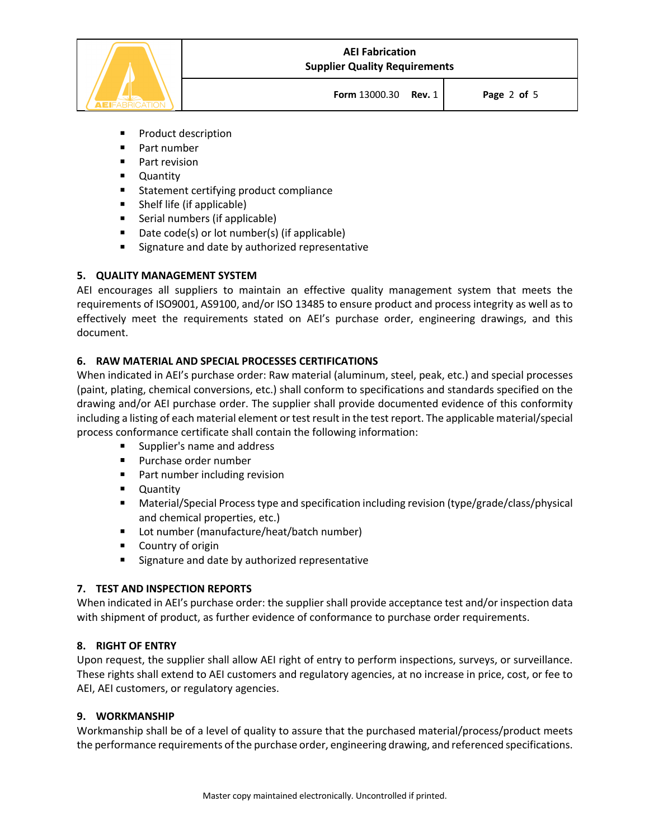

**Form** 13000.30 **Rev.** 1 **Page** 2 **of** 5

- Product description
- Part number
- Part revision
- Quantity
- Statement certifying product compliance
- Shelf life (if applicable)
- Serial numbers (if applicable)
- Date code(s) or lot number(s) (if applicable)
- Signature and date by authorized representative

### **5. QUALITY MANAGEMENT SYSTEM**

AEI encourages all suppliers to maintain an effective quality management system that meets the requirements of ISO9001, AS9100, and/or ISO 13485 to ensure product and process integrity as well as to effectively meet the requirements stated on AEI's purchase order, engineering drawings, and this document.

## **6. RAW MATERIAL AND SPECIAL PROCESSES CERTIFICATIONS**

When indicated in AEI's purchase order: Raw material (aluminum, steel, peak, etc.) and special processes (paint, plating, chemical conversions, etc.) shall conform to specifications and standards specified on the drawing and/or AEI purchase order. The supplier shall provide documented evidence of this conformity including a listing of each material element or test result in the test report. The applicable material/special process conformance certificate shall contain the following information:

- § Supplier's name and address
- Purchase order number
- Part number including revision
- Quantity
- Material/Special Process type and specification including revision (type/grade/class/physical and chemical properties, etc.)
- Lot number (manufacture/heat/batch number)
- Country of origin
- Signature and date by authorized representative

### **7. TEST AND INSPECTION REPORTS**

When indicated in AEI's purchase order: the supplier shall provide acceptance test and/or inspection data with shipment of product, as further evidence of conformance to purchase order requirements.

### **8. RIGHT OF ENTRY**

Upon request, the supplier shall allow AEI right of entry to perform inspections, surveys, or surveillance. These rights shall extend to AEI customers and regulatory agencies, at no increase in price, cost, or fee to AEI, AEI customers, or regulatory agencies.

### **9. WORKMANSHIP**

Workmanship shall be of a level of quality to assure that the purchased material/process/product meets the performance requirements of the purchase order, engineering drawing, and referenced specifications.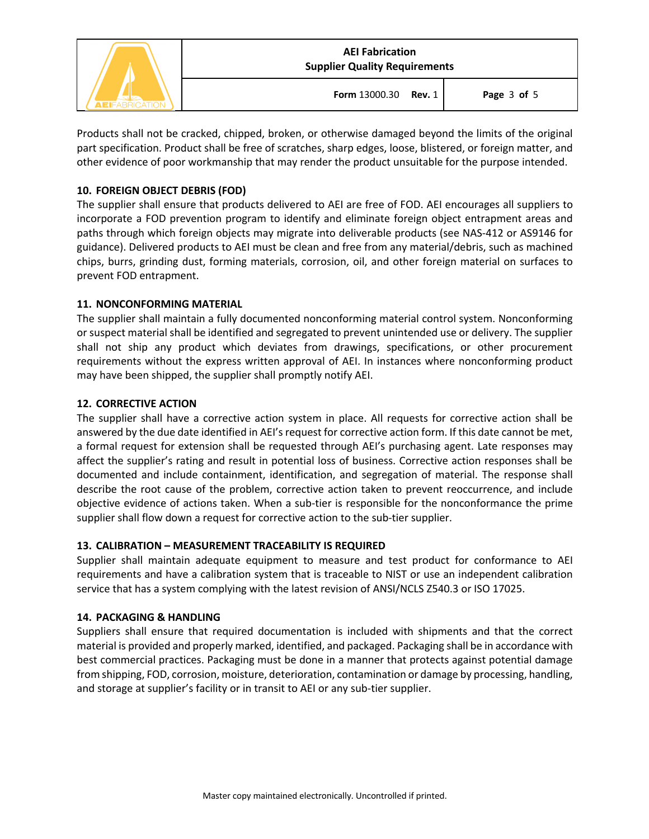

Products shall not be cracked, chipped, broken, or otherwise damaged beyond the limits of the original part specification. Product shall be free of scratches, sharp edges, loose, blistered, or foreign matter, and other evidence of poor workmanship that may render the product unsuitable for the purpose intended.

## **10. FOREIGN OBJECT DEBRIS (FOD)**

The supplier shall ensure that products delivered to AEI are free of FOD. AEI encourages all suppliers to incorporate a FOD prevention program to identify and eliminate foreign object entrapment areas and paths through which foreign objects may migrate into deliverable products (see NAS-412 or AS9146 for guidance). Delivered products to AEI must be clean and free from any material/debris, such as machined chips, burrs, grinding dust, forming materials, corrosion, oil, and other foreign material on surfaces to prevent FOD entrapment.

### **11. NONCONFORMING MATERIAL**

The supplier shall maintain a fully documented nonconforming material control system. Nonconforming or suspect material shall be identified and segregated to prevent unintended use or delivery. The supplier shall not ship any product which deviates from drawings, specifications, or other procurement requirements without the express written approval of AEI. In instances where nonconforming product may have been shipped, the supplier shall promptly notify AEI.

## **12. CORRECTIVE ACTION**

The supplier shall have a corrective action system in place. All requests for corrective action shall be answered by the due date identified in AEI's request for corrective action form. If this date cannot be met, a formal request for extension shall be requested through AEI's purchasing agent. Late responses may affect the supplier's rating and result in potential loss of business. Corrective action responses shall be documented and include containment, identification, and segregation of material. The response shall describe the root cause of the problem, corrective action taken to prevent reoccurrence, and include objective evidence of actions taken. When a sub-tier is responsible for the nonconformance the prime supplier shall flow down a request for corrective action to the sub-tier supplier.

# **13. CALIBRATION – MEASUREMENT TRACEABILITY IS REQUIRED**

Supplier shall maintain adequate equipment to measure and test product for conformance to AEI requirements and have a calibration system that is traceable to NIST or use an independent calibration service that has a system complying with the latest revision of ANSI/NCLS Z540.3 or ISO 17025.

# **14. PACKAGING & HANDLING**

Suppliers shall ensure that required documentation is included with shipments and that the correct material is provided and properly marked, identified, and packaged. Packaging shall be in accordance with best commercial practices. Packaging must be done in a manner that protects against potential damage from shipping, FOD, corrosion, moisture, deterioration, contamination or damage by processing, handling, and storage at supplier's facility or in transit to AEI or any sub-tier supplier.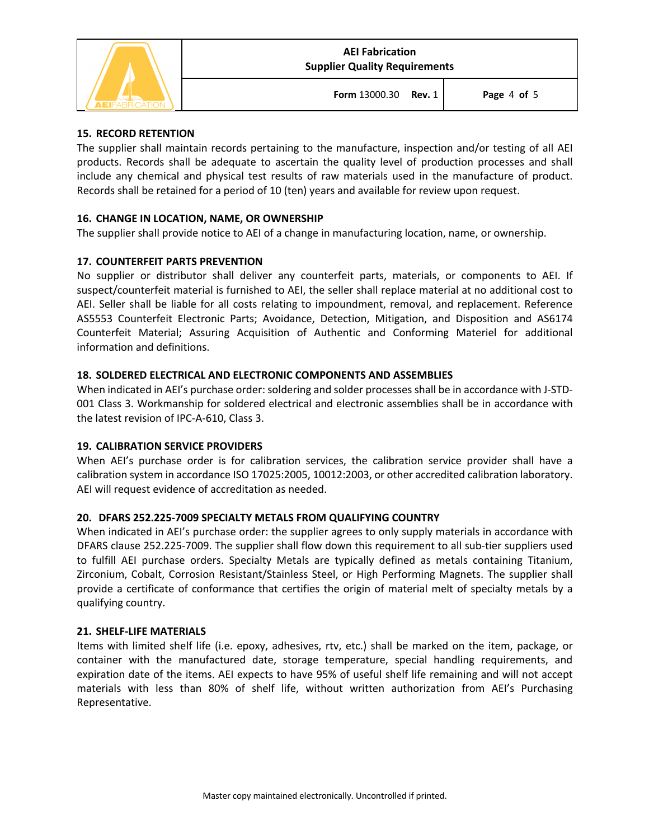

**Form** 13000.30 **Rev.** 1 **Page** 4 **of** 5

## **15. RECORD RETENTION**

The supplier shall maintain records pertaining to the manufacture, inspection and/or testing of all AEI products. Records shall be adequate to ascertain the quality level of production processes and shall include any chemical and physical test results of raw materials used in the manufacture of product. Records shall be retained for a period of 10 (ten) years and available for review upon request.

# **16. CHANGE IN LOCATION, NAME, OR OWNERSHIP**

The supplier shall provide notice to AEI of a change in manufacturing location, name, or ownership.

# **17. COUNTERFEIT PARTS PREVENTION**

No supplier or distributor shall deliver any counterfeit parts, materials, or components to AEI. If suspect/counterfeit material is furnished to AEI, the seller shall replace material at no additional cost to AEI. Seller shall be liable for all costs relating to impoundment, removal, and replacement. Reference AS5553 Counterfeit Electronic Parts; Avoidance, Detection, Mitigation, and Disposition and AS6174 Counterfeit Material; Assuring Acquisition of Authentic and Conforming Materiel for additional information and definitions.

## **18. SOLDERED ELECTRICAL AND ELECTRONIC COMPONENTS AND ASSEMBLIES**

When indicated in AEI's purchase order: soldering and solder processes shall be in accordance with J-STD-001 Class 3. Workmanship for soldered electrical and electronic assemblies shall be in accordance with the latest revision of IPC-A-610, Class 3.

### **19. CALIBRATION SERVICE PROVIDERS**

When AEI's purchase order is for calibration services, the calibration service provider shall have a calibration system in accordance ISO 17025:2005, 10012:2003, or other accredited calibration laboratory. AEI will request evidence of accreditation as needed.

### **20. DFARS 252.225-7009 SPECIALTY METALS FROM QUALIFYING COUNTRY**

When indicated in AEI's purchase order: the supplier agrees to only supply materials in accordance with DFARS clause 252.225-7009. The supplier shall flow down this requirement to all sub-tier suppliers used to fulfill AEI purchase orders. Specialty Metals are typically defined as metals containing Titanium, Zirconium, Cobalt, Corrosion Resistant/Stainless Steel, or High Performing Magnets. The supplier shall provide a certificate of conformance that certifies the origin of material melt of specialty metals by a qualifying country.

### **21. SHELF-LIFE MATERIALS**

Items with limited shelf life (i.e. epoxy, adhesives, rtv, etc.) shall be marked on the item, package, or container with the manufactured date, storage temperature, special handling requirements, and expiration date of the items. AEI expects to have 95% of useful shelf life remaining and will not accept materials with less than 80% of shelf life, without written authorization from AEI's Purchasing Representative.